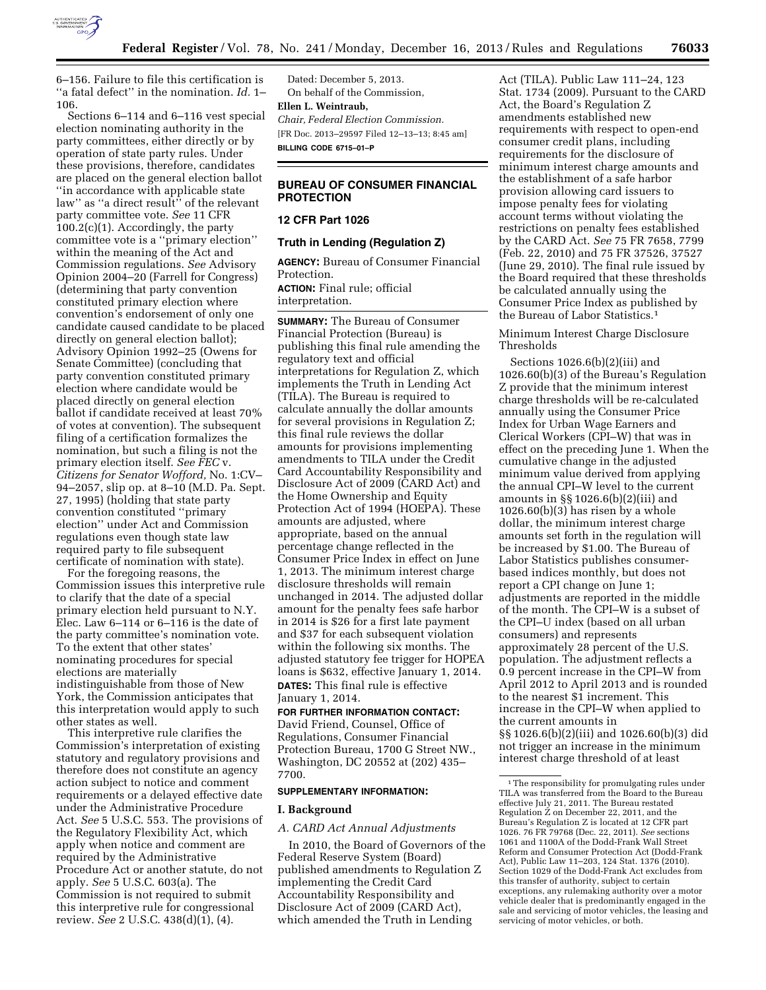

6–156. Failure to file this certification is ''a fatal defect'' in the nomination. *Id.* 1– 106.

Sections 6–114 and 6–116 vest special election nominating authority in the party committees, either directly or by operation of state party rules. Under these provisions, therefore, candidates are placed on the general election ballot ''in accordance with applicable state law" as "a direct result" of the relevant party committee vote. *See* 11 CFR  $100.2(c)(1)$ . Accordingly, the party committee vote is a ''primary election'' within the meaning of the Act and Commission regulations. *See* Advisory Opinion 2004–20 (Farrell for Congress) (determining that party convention constituted primary election where convention's endorsement of only one candidate caused candidate to be placed directly on general election ballot); Advisory Opinion 1992–25 (Owens for Senate Committee) (concluding that party convention constituted primary election where candidate would be placed directly on general election ballot if candidate received at least 70% of votes at convention). The subsequent filing of a certification formalizes the nomination, but such a filing is not the primary election itself. *See FEC* v. *Citizens for Senator Wofford,* No. 1:CV– 94–2057, slip op. at 8–10 (M.D. Pa. Sept. 27, 1995) (holding that state party convention constituted ''primary election'' under Act and Commission regulations even though state law required party to file subsequent certificate of nomination with state).

For the foregoing reasons, the Commission issues this interpretive rule to clarify that the date of a special primary election held pursuant to N.Y. Elec. Law 6–114 or 6–116 is the date of the party committee's nomination vote. To the extent that other states' nominating procedures for special elections are materially indistinguishable from those of New York, the Commission anticipates that this interpretation would apply to such other states as well.

This interpretive rule clarifies the Commission's interpretation of existing statutory and regulatory provisions and therefore does not constitute an agency action subject to notice and comment requirements or a delayed effective date under the Administrative Procedure Act. *See* 5 U.S.C. 553. The provisions of the Regulatory Flexibility Act, which apply when notice and comment are required by the Administrative Procedure Act or another statute, do not apply. *See* 5 U.S.C. 603(a). The Commission is not required to submit this interpretive rule for congressional review. *See* 2 U.S.C. 438(d)(1), (4).

Dated: December 5, 2013. On behalf of the Commission, **Ellen L. Weintraub,**  *Chair, Federal Election Commission.*  [FR Doc. 2013–29597 Filed 12–13–13; 8:45 am] **BILLING CODE 6715–01–P** 

# **BUREAU OF CONSUMER FINANCIAL PROTECTION**

### **12 CFR Part 1026**

# **Truth in Lending (Regulation Z)**

**AGENCY:** Bureau of Consumer Financial Protection. **ACTION:** Final rule; official

interpretation.

**SUMMARY:** The Bureau of Consumer Financial Protection (Bureau) is publishing this final rule amending the regulatory text and official interpretations for Regulation Z, which implements the Truth in Lending Act (TILA). The Bureau is required to calculate annually the dollar amounts for several provisions in Regulation Z; this final rule reviews the dollar amounts for provisions implementing amendments to TILA under the Credit Card Accountability Responsibility and Disclosure Act of 2009 (CARD Act) and the Home Ownership and Equity Protection Act of 1994 (HOEPA). These amounts are adjusted, where appropriate, based on the annual percentage change reflected in the Consumer Price Index in effect on June 1, 2013. The minimum interest charge disclosure thresholds will remain unchanged in 2014. The adjusted dollar amount for the penalty fees safe harbor in 2014 is \$26 for a first late payment and \$37 for each subsequent violation within the following six months. The adjusted statutory fee trigger for HOPEA loans is \$632, effective January 1, 2014. **DATES:** This final rule is effective January 1, 2014.

**FOR FURTHER INFORMATION CONTACT:**  David Friend, Counsel, Office of Regulations, Consumer Financial Protection Bureau, 1700 G Street NW., Washington, DC 20552 at (202) 435– 7700.

#### **SUPPLEMENTARY INFORMATION:**

#### **I. Background**

#### *A. CARD Act Annual Adjustments*

In 2010, the Board of Governors of the Federal Reserve System (Board) published amendments to Regulation Z implementing the Credit Card Accountability Responsibility and Disclosure Act of 2009 (CARD Act), which amended the Truth in Lending

Act (TILA). Public Law 111–24, 123 Stat. 1734 (2009). Pursuant to the CARD Act, the Board's Regulation Z amendments established new requirements with respect to open-end consumer credit plans, including requirements for the disclosure of minimum interest charge amounts and the establishment of a safe harbor provision allowing card issuers to impose penalty fees for violating account terms without violating the restrictions on penalty fees established by the CARD Act. *See* 75 FR 7658, 7799 (Feb. 22, 2010) and 75 FR 37526, 37527 (June 29, 2010). The final rule issued by the Board required that these thresholds be calculated annually using the Consumer Price Index as published by the Bureau of Labor Statistics.1

Minimum Interest Charge Disclosure Thresholds

Sections 1026.6(b)(2)(iii) and 1026.60(b)(3) of the Bureau's Regulation Z provide that the minimum interest charge thresholds will be re-calculated annually using the Consumer Price Index for Urban Wage Earners and Clerical Workers (CPI–W) that was in effect on the preceding June 1. When the cumulative change in the adjusted minimum value derived from applying the annual CPI–W level to the current amounts in §§ 1026.6(b)(2)(iii) and  $1026.60(b)(3)$  has risen by a whole dollar, the minimum interest charge amounts set forth in the regulation will be increased by \$1.00. The Bureau of Labor Statistics publishes consumerbased indices monthly, but does not report a CPI change on June 1; adjustments are reported in the middle of the month. The CPI–W is a subset of the CPI–U index (based on all urban consumers) and represents approximately 28 percent of the U.S. population. The adjustment reflects a 0.9 percent increase in the CPI–W from April 2012 to April 2013 and is rounded to the nearest \$1 increment. This increase in the CPI–W when applied to the current amounts in §§ 1026.6(b)(2)(iii) and 1026.60(b)(3) did not trigger an increase in the minimum interest charge threshold of at least

<sup>1</sup>The responsibility for promulgating rules under TILA was transferred from the Board to the Bureau effective July 21, 2011. The Bureau restated Regulation Z on December 22, 2011, and the Bureau's Regulation Z is located at 12 CFR part 1026. 76 FR 79768 (Dec. 22, 2011). *See* sections 1061 and 1100A of the Dodd-Frank Wall Street Reform and Consumer Protection Act (Dodd-Frank Act), Public Law 11–203, 124 Stat. 1376 (2010). Section 1029 of the Dodd-Frank Act excludes from this transfer of authority, subject to certain exceptions, any rulemaking authority over a motor vehicle dealer that is predominantly engaged in the sale and servicing of motor vehicles, the leasing and servicing of motor vehicles, or both.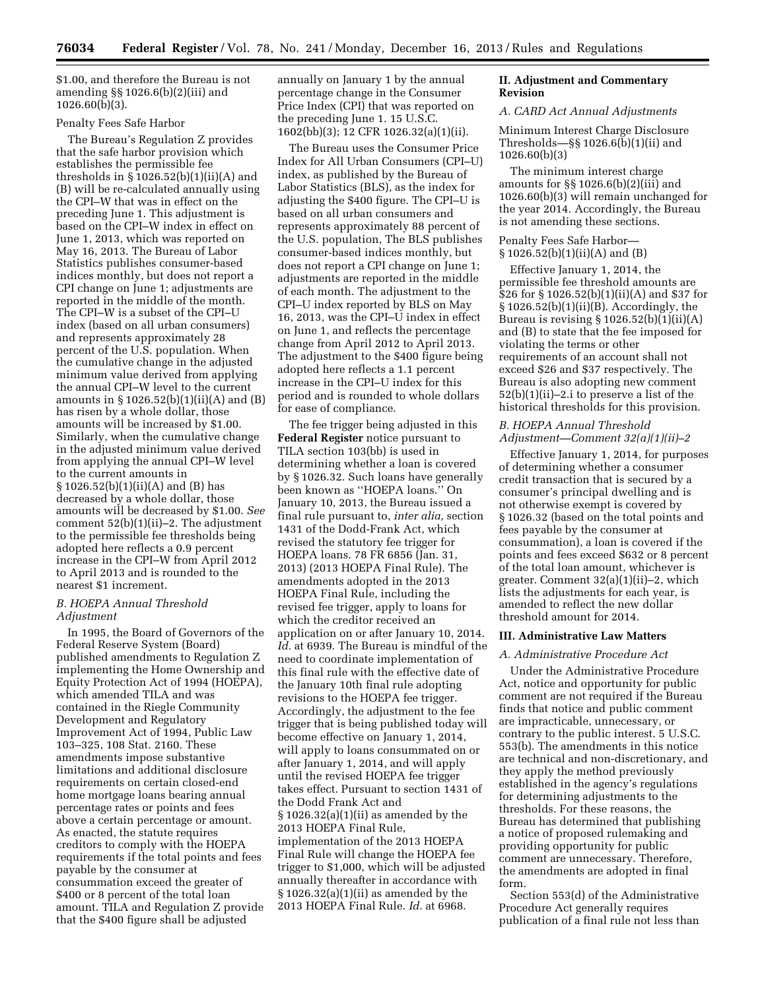\$1.00, and therefore the Bureau is not amending §§ 1026.6(b)(2)(iii) and 1026.60(b)(3).

# Penalty Fees Safe Harbor

The Bureau's Regulation Z provides that the safe harbor provision which establishes the permissible fee thresholds in  $\S 1026.52(b)(1)(ii)(A)$  and (B) will be re-calculated annually using the CPI–W that was in effect on the preceding June 1. This adjustment is based on the CPI–W index in effect on June 1, 2013, which was reported on May 16, 2013. The Bureau of Labor Statistics publishes consumer-based indices monthly, but does not report a CPI change on June 1; adjustments are reported in the middle of the month. The CPI–W is a subset of the CPI–U index (based on all urban consumers) and represents approximately 28 percent of the U.S. population. When the cumulative change in the adjusted minimum value derived from applying the annual CPI–W level to the current amounts in  $\S 1026.52(b)(1)(ii)(A)$  and  $(B)$ has risen by a whole dollar, those amounts will be increased by \$1.00. Similarly, when the cumulative change in the adjusted minimum value derived from applying the annual CPI–W level to the current amounts in § 1026.52(b)(1)(ii)(A) and (B) has decreased by a whole dollar, those amounts will be decreased by \$1.00. *See*  comment 52(b)(1)(ii)–2. The adjustment to the permissible fee thresholds being adopted here reflects a 0.9 percent increase in the CPI–W from April 2012 to April 2013 and is rounded to the nearest \$1 increment.

## *B. HOEPA Annual Threshold Adjustment*

In 1995, the Board of Governors of the Federal Reserve System (Board) published amendments to Regulation Z implementing the Home Ownership and Equity Protection Act of 1994 (HOEPA), which amended TILA and was contained in the Riegle Community Development and Regulatory Improvement Act of 1994, Public Law 103–325, 108 Stat. 2160. These amendments impose substantive limitations and additional disclosure requirements on certain closed-end home mortgage loans bearing annual percentage rates or points and fees above a certain percentage or amount. As enacted, the statute requires creditors to comply with the HOEPA requirements if the total points and fees payable by the consumer at consummation exceed the greater of \$400 or 8 percent of the total loan amount. TILA and Regulation Z provide that the \$400 figure shall be adjusted

annually on January 1 by the annual percentage change in the Consumer Price Index (CPI) that was reported on the preceding June 1. 15 U.S.C. 1602(bb)(3); 12 CFR 1026.32(a)(1)(ii).

The Bureau uses the Consumer Price Index for All Urban Consumers (CPI–U) index, as published by the Bureau of Labor Statistics (BLS), as the index for adjusting the \$400 figure. The CPI–U is based on all urban consumers and represents approximately 88 percent of the U.S. population, The BLS publishes consumer-based indices monthly, but does not report a CPI change on June 1; adjustments are reported in the middle of each month. The adjustment to the CPI–U index reported by BLS on May 16, 2013, was the CPI–U index in effect on June 1, and reflects the percentage change from April 2012 to April 2013. The adjustment to the \$400 figure being adopted here reflects a 1.1 percent increase in the CPI–U index for this period and is rounded to whole dollars for ease of compliance.

The fee trigger being adjusted in this **Federal Register** notice pursuant to TILA section 103(bb) is used in determining whether a loan is covered by § 1026.32. Such loans have generally been known as ''HOEPA loans.'' On January 10, 2013, the Bureau issued a final rule pursuant to, *inter alia,* section 1431 of the Dodd-Frank Act, which revised the statutory fee trigger for HOEPA loans. 78 FR 6856 (Jan. 31, 2013) (2013 HOEPA Final Rule). The amendments adopted in the 2013 HOEPA Final Rule, including the revised fee trigger, apply to loans for which the creditor received an application on or after January 10, 2014. *Id.* at 6939. The Bureau is mindful of the need to coordinate implementation of this final rule with the effective date of the January 10th final rule adopting revisions to the HOEPA fee trigger. Accordingly, the adjustment to the fee trigger that is being published today will become effective on January 1, 2014, will apply to loans consummated on or after January 1, 2014, and will apply until the revised HOEPA fee trigger takes effect. Pursuant to section 1431 of the Dodd Frank Act and § 1026.32(a)(1)(ii) as amended by the 2013 HOEPA Final Rule, implementation of the 2013 HOEPA Final Rule will change the HOEPA fee trigger to \$1,000, which will be adjusted annually thereafter in accordance with § 1026.32(a)(1)(ii) as amended by the 2013 HOEPA Final Rule. *Id.* at 6968.

# **II. Adjustment and Commentary Revision**

#### *A. CARD Act Annual Adjustments*

Minimum Interest Charge Disclosure Thresholds—§§ 1026.6(b)(1)(ii) and 1026.60(b)(3)

The minimum interest charge amounts for §§ 1026.6(b)(2)(iii) and 1026.60(b)(3) will remain unchanged for the year 2014. Accordingly, the Bureau is not amending these sections.

# Penalty Fees Safe Harbor— § 1026.52(b)(1)(ii)(A) and (B)

Effective January 1, 2014, the permissible fee threshold amounts are \$26 for § 1026.52(b)(1)(ii)(A) and \$37 for § 1026.52(b)(1)(ii)(B). Accordingly, the Bureau is revising  $\S 1026.52(b)(1)(ii)(A)$ and (B) to state that the fee imposed for violating the terms or other requirements of an account shall not exceed \$26 and \$37 respectively. The Bureau is also adopting new comment 52(b)(1)(ii)–2.i to preserve a list of the historical thresholds for this provision.

# *B. HOEPA Annual Threshold Adjustment—Comment 32(a)(1)(ii)–2*

Effective January 1, 2014, for purposes of determining whether a consumer credit transaction that is secured by a consumer's principal dwelling and is not otherwise exempt is covered by § 1026.32 (based on the total points and fees payable by the consumer at consummation), a loan is covered if the points and fees exceed \$632 or 8 percent of the total loan amount, whichever is greater. Comment 32(a)(1)(ii)–2, which lists the adjustments for each year, is amended to reflect the new dollar threshold amount for 2014.

#### **III. Administrative Law Matters**

# *A. Administrative Procedure Act*

Under the Administrative Procedure Act, notice and opportunity for public comment are not required if the Bureau finds that notice and public comment are impracticable, unnecessary, or contrary to the public interest. 5 U.S.C. 553(b). The amendments in this notice are technical and non-discretionary, and they apply the method previously established in the agency's regulations for determining adjustments to the thresholds. For these reasons, the Bureau has determined that publishing a notice of proposed rulemaking and providing opportunity for public comment are unnecessary. Therefore, the amendments are adopted in final form.

Section 553(d) of the Administrative Procedure Act generally requires publication of a final rule not less than